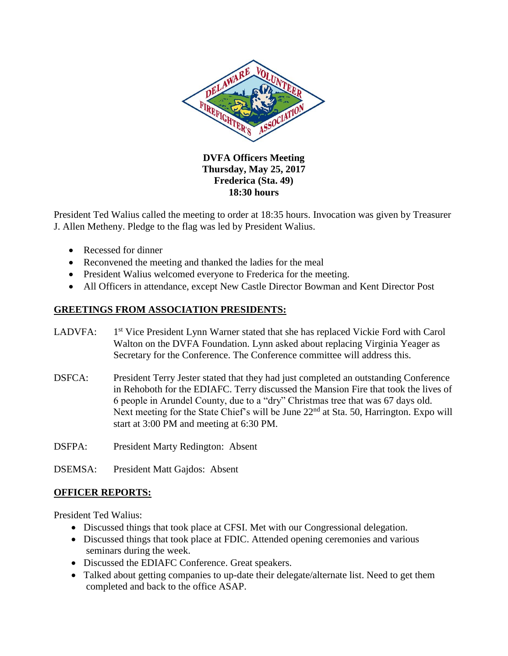

#### **DVFA Officers Meeting Thursday, May 25, 2017 Frederica (Sta. 49) 18:30 hours**

President Ted Walius called the meeting to order at 18:35 hours. Invocation was given by Treasurer J. Allen Metheny. Pledge to the flag was led by President Walius.

- Recessed for dinner
- Reconvened the meeting and thanked the ladies for the meal
- President Walius welcomed everyone to Frederica for the meeting.
- All Officers in attendance, except New Castle Director Bowman and Kent Director Post

### **GREETINGS FROM ASSOCIATION PRESIDENTS:**

- LADVFA: 1<sup>st</sup> Vice President Lynn Warner stated that she has replaced Vickie Ford with Carol Walton on the DVFA Foundation. Lynn asked about replacing Virginia Yeager as Secretary for the Conference. The Conference committee will address this.
- DSFCA: President Terry Jester stated that they had just completed an outstanding Conference in Rehoboth for the EDIAFC. Terry discussed the Mansion Fire that took the lives of 6 people in Arundel County, due to a "dry" Christmas tree that was 67 days old. Next meeting for the State Chief's will be June  $22<sup>nd</sup>$  at Sta. 50, Harrington. Expo will start at 3:00 PM and meeting at 6:30 PM.
- DSFPA: President Marty Redington: Absent
- DSEMSA: President Matt Gajdos: Absent

## **OFFICER REPORTS:**

President Ted Walius:

- Discussed things that took place at CFSI. Met with our Congressional delegation.
- Discussed things that took place at FDIC. Attended opening ceremonies and various seminars during the week.
- Discussed the EDIAFC Conference. Great speakers.
- Talked about getting companies to up-date their delegate/alternate list. Need to get them completed and back to the office ASAP.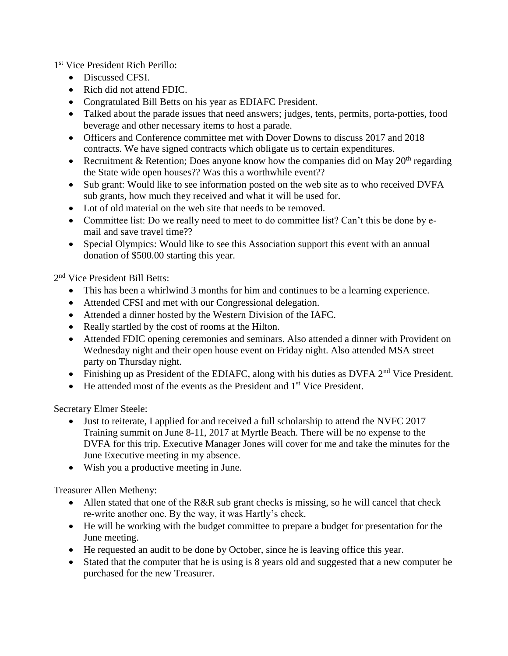1 st Vice President Rich Perillo:

- Discussed CFSI.
- Rich did not attend FDIC.
- Congratulated Bill Betts on his year as EDIAFC President.
- Talked about the parade issues that need answers; judges, tents, permits, porta-potties, food beverage and other necessary items to host a parade.
- Officers and Conference committee met with Dover Downs to discuss 2017 and 2018 contracts. We have signed contracts which obligate us to certain expenditures.
- Recruitment & Retention; Does anyone know how the companies did on May  $20<sup>th</sup>$  regarding the State wide open houses?? Was this a worthwhile event??
- Sub grant: Would like to see information posted on the web site as to who received DVFA sub grants, how much they received and what it will be used for.
- Lot of old material on the web site that needs to be removed.
- Committee list: Do we really need to meet to do committee list? Can't this be done by email and save travel time??
- Special Olympics: Would like to see this Association support this event with an annual donation of \$500.00 starting this year.

2<sup>nd</sup> Vice President Bill Betts:

- This has been a whirlwind 3 months for him and continues to be a learning experience.
- Attended CFSI and met with our Congressional delegation.
- Attended a dinner hosted by the Western Division of the IAFC.
- Really startled by the cost of rooms at the Hilton.
- Attended FDIC opening ceremonies and seminars. Also attended a dinner with Provident on Wednesday night and their open house event on Friday night. Also attended MSA street party on Thursday night.
- Finishing up as President of the EDIAFC, along with his duties as DVFA 2<sup>nd</sup> Vice President.
- $\bullet$  He attended most of the events as the President and  $1<sup>st</sup>$  Vice President.

Secretary Elmer Steele:

- Just to reiterate, I applied for and received a full scholarship to attend the NVFC 2017 Training summit on June 8-11, 2017 at Myrtle Beach. There will be no expense to the DVFA for this trip. Executive Manager Jones will cover for me and take the minutes for the June Executive meeting in my absence.
- Wish you a productive meeting in June.

Treasurer Allen Metheny:

- Allen stated that one of the R&R sub grant checks is missing, so he will cancel that check re-write another one. By the way, it was Hartly's check.
- He will be working with the budget committee to prepare a budget for presentation for the June meeting.
- He requested an audit to be done by October, since he is leaving office this year.
- Stated that the computer that he is using is 8 years old and suggested that a new computer be purchased for the new Treasurer.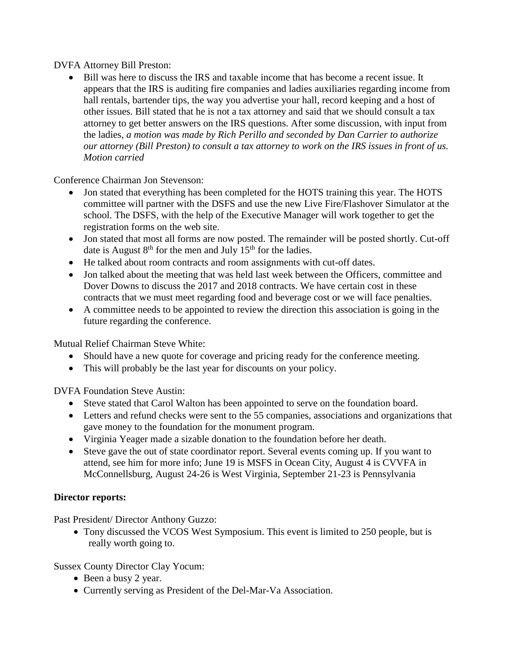#### DVFA Attorney Bill Preston:

• Bill was here to discuss the IRS and taxable income that has become a recent issue. It appears that the IRS is auditing fire companies and ladies auxiliaries regarding income from hall rentals, bartender tips, the way you advertise your hall, record keeping and a host of other issues. Bill stated that he is not a tax attorney and said that we should consult a tax attorney to get better answers on the IRS questions. After some discussion, with input from the ladies, *a motion was made by Rich Perillo and seconded by Dan Carrier to authorize our attorney (Bill Preston) to consult a tax attorney to work on the IRS issues in front of us. Motion carried*

Conference Chairman Jon Stevenson:

- Jon stated that everything has been completed for the HOTS training this year. The HOTS committee will partner with the DSFS and use the new Live Fire/Flashover Simulator at the school. The DSFS, with the help of the Executive Manager will work together to get the registration forms on the web site.
- Jon stated that most all forms are now posted. The remainder will be posted shortly. Cut-off date is August  $8<sup>th</sup>$  for the men and July  $15<sup>th</sup>$  for the ladies.
- He talked about room contracts and room assignments with cut-off dates.
- Jon talked about the meeting that was held last week between the Officers, committee and Dover Downs to discuss the 2017 and 2018 contracts. We have certain cost in these contracts that we must meet regarding food and beverage cost or we will face penalties.
- A committee needs to be appointed to review the direction this association is going in the future regarding the conference.

Mutual Relief Chairman Steve White:

- Should have a new quote for coverage and pricing ready for the conference meeting.
- This will probably be the last year for discounts on your policy.

DVFA Foundation Steve Austin:

- Steve stated that Carol Walton has been appointed to serve on the foundation board.
- Letters and refund checks were sent to the 55 companies, associations and organizations that gave money to the foundation for the monument program.
- Virginia Yeager made a sizable donation to the foundation before her death.
- Steve gave the out of state coordinator report. Several events coming up. If you want to attend, see him for more info; June 19 is MSFS in Ocean City, August 4 is CVVFA in McConnellsburg, August 24-26 is West Virginia, September 21-23 is Pennsylvania

## **Director reports:**

Past President/ Director Anthony Guzzo:

 Tony discussed the VCOS West Symposium. This event is limited to 250 people, but is really worth going to.

Sussex County Director Clay Yocum:

- Been a busy 2 year.
- Currently serving as President of the Del-Mar-Va Association.